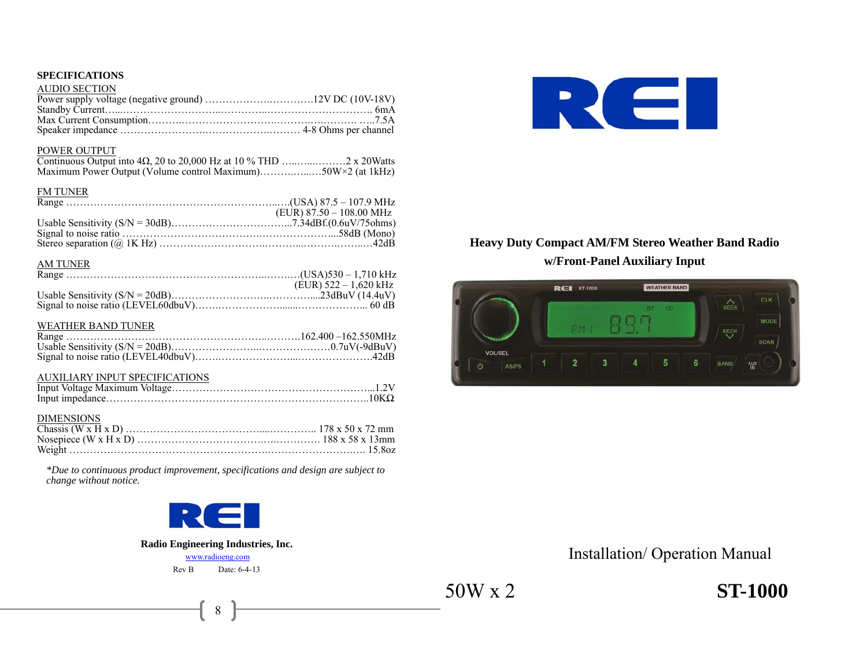# **SPECIFICATIONS**

| AUDIO SECTION |  |
|---------------|--|
|               |  |
|               |  |
|               |  |
|               |  |

#### POWER OUTPUT

| Maximum Power Output (Volume control Maximum)50W×2 (at 1kHz) |  |
|--------------------------------------------------------------|--|

#### FM TUNER

| $(EUR)$ 87.50 – 108.00 MHz |
|----------------------------|
|                            |
|                            |
|                            |

#### AM TUNER

| (EUR) $522 - 1,620$ kHz |
|-------------------------|
|                         |
|                         |
|                         |

#### WEATHER BAND TUNER

#### AUXILIARY INPUT SPECIFICATIONS

| <b>DIMENSIONS</b> |  |
|-------------------|--|
|                   |  |
|                   |  |
|                   |  |

*\*Due to continuous product improvement, specifications and design are subject to change without notice.* 



# **Radio Engineering Industries, Inc.**

www.radioeng.com Rev B Date: 6-4-13

8



# **Heavy Duty Compact AM/FM Stereo Weather Band Radio w/Front-Panel Auxiliary Input**



Installation/ Operation Manual

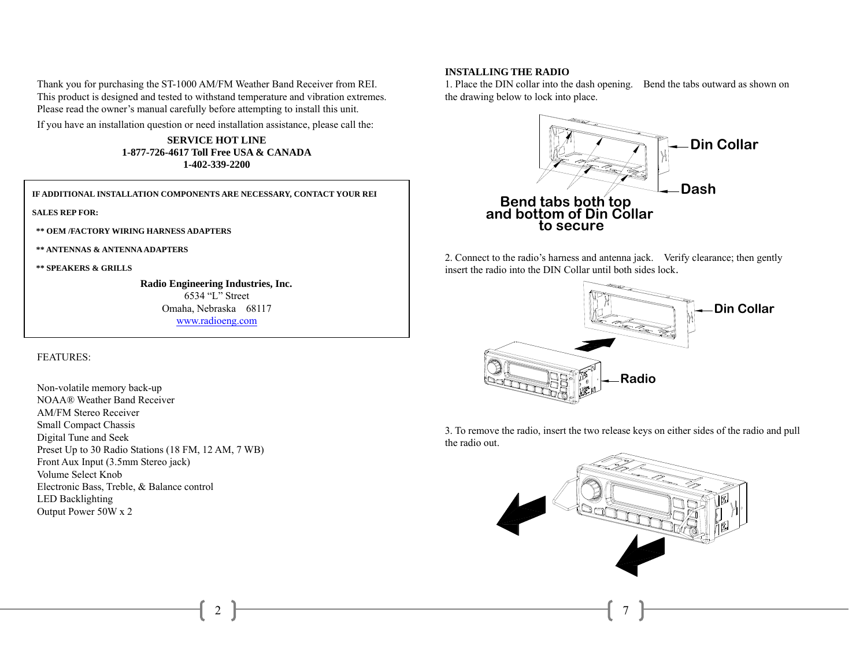Thank you for purchasing the ST-1000 AM/FM Weather Band Receiver from REI. This product is designed and tested to withstand temperature and vibration extremes. Please read the owner's manual carefully before attempting to install this unit.

If you have an installation question or need installation assistance, please call the:

**SERVICE HOT LINE 1-877-726-4617 Toll Free USA & CANADA 1-402-339-2200** 

**IF ADDITIONAL INSTALLATION COMPONENTS ARE NECESSARY, CONTACT YOUR REI** 

**SALES REP FOR:** 

 **\*\* OEM /FACTORY WIRING HARNESS ADAPTERS** 

 **\*\* ANTENNAS & ANTENNA ADAPTERS** 

 **\*\* SPEAKERS & GRILLS** 

 **Radio Engineering Industries, Inc.**  6534 "L" Street Omaha, Nebraska 68117 www.radioeng.com

2

#### FEATURES:

Non-volatile memory back-up NOAA® Weather Band Receiver AM/FM Stereo Receiver Small Compact Chassis Digital Tune and Seek Preset Up to 30 Radio Stations (18 FM, 12 AM, 7 WB) Front Aux Input (3.5mm Stereo jack) Volume Select Knob Electronic Bass, Treble, & Balance control LED Backlighting Output Power 50W x 2

#### **INSTALLING THE RADIO**

1. Place the DIN collar into the dash opening. Bend the tabs outward as shown on the drawing below to lock into place.



2. Connect to the radio's harness and antenna jack. Verify clearance; then gently insert the radio into the DIN Collar until both sides lock.



3. To remove the radio, insert the two release keys on either sides of the radio and pull the radio out.

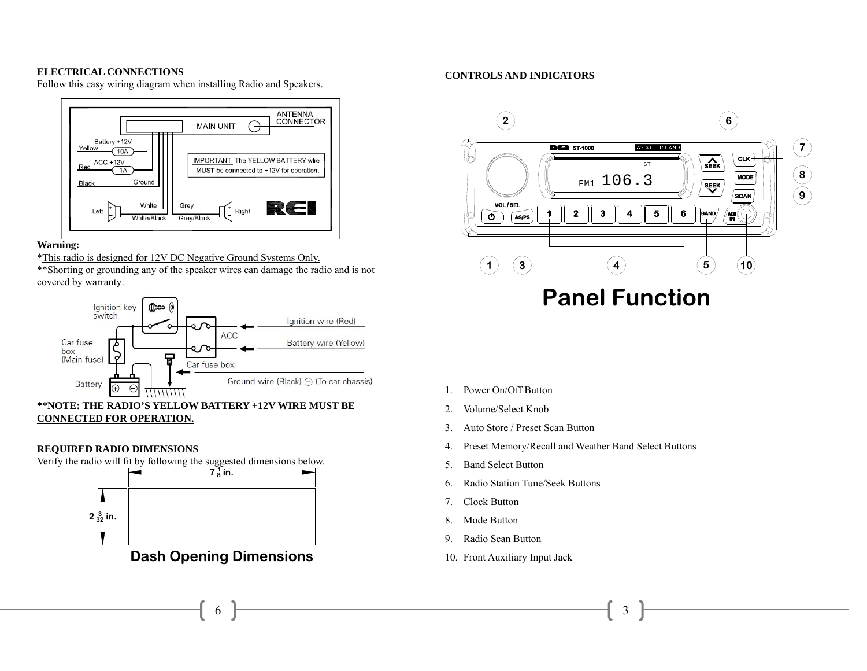#### **ELECTRICAL CONNECTIONS**

Follow this easy wiring diagram when installing Radio and Speakers.



#### **Warning:**

\*This radio is designed for 12V DC Negative Ground Systems Only.

\*\*Shorting or grounding any of the speaker wires can damage the radio and is not covered by warranty.



# **REQUIRED RADIO DIMENSIONS**

Verify the radio will fit by following the suggested dimensions below.



6

#### **CONTROLS AND INDICATORS**



# **Panel Function**

- 1. Power On/Off Button
- 2.Volume/Select Knob
- 3.Auto Store / Preset Scan Button
- 4.Preset Memory/Recall and Weather Band Select Buttons
- 5.Band Select Button
- 6.Radio Station Tune/Seek Buttons
- 7.Clock Button
- 8.Mode Button
- 9.Radio Scan Button
- 10. Front Auxiliary Input Jack